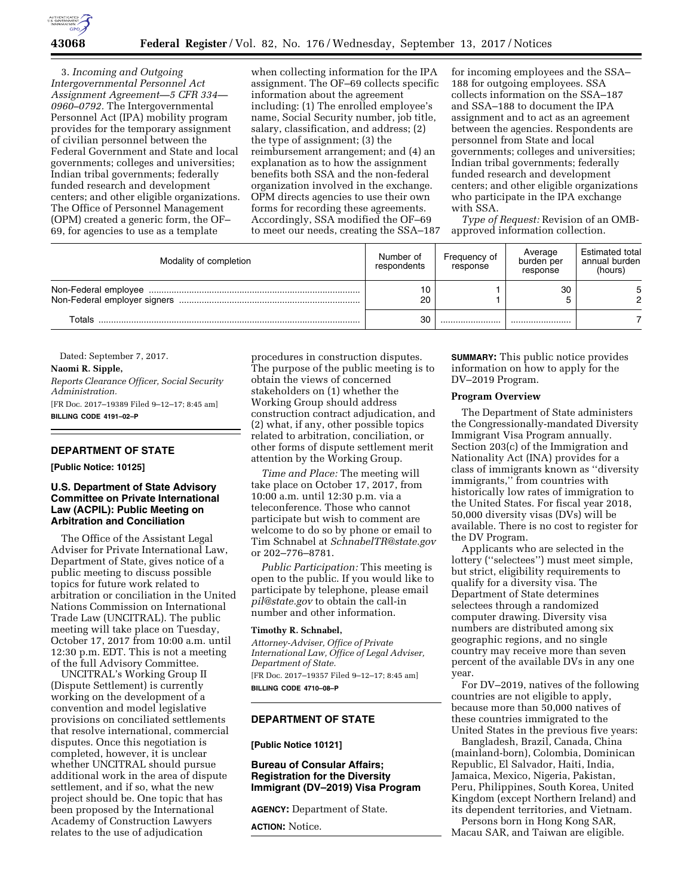

3. *Incoming and Outgoing Intergovernmental Personnel Act Assignment Agreement—5 CFR 334— 0960–0792.* The Intergovernmental Personnel Act (IPA) mobility program provides for the temporary assignment of civilian personnel between the Federal Government and State and local governments; colleges and universities; Indian tribal governments; federally funded research and development centers; and other eligible organizations. The Office of Personnel Management (OPM) created a generic form, the OF– 69, for agencies to use as a template

when collecting information for the IPA assignment. The OF–69 collects specific information about the agreement including: (1) The enrolled employee's name, Social Security number, job title, salary, classification, and address; (2) the type of assignment; (3) the reimbursement arrangement; and (4) an explanation as to how the assignment benefits both SSA and the non-federal organization involved in the exchange. OPM directs agencies to use their own forms for recording these agreements. Accordingly, SSA modified the OF–69 to meet our needs, creating the SSA–187 for incoming employees and the SSA– 188 for outgoing employees. SSA collects information on the SSA–187 and SSA–188 to document the IPA assignment and to act as an agreement between the agencies. Respondents are personnel from State and local governments; colleges and universities; Indian tribal governments; federally funded research and development centers; and other eligible organizations who participate in the IPA exchange with SSA.

*Type of Request:* Revision of an OMBapproved information collection.

| Modality of completion | Number of<br>respondents | Frequency of<br>response | Average<br>burden per<br>response | Estimated total<br>annual burden<br>(hours) |
|------------------------|--------------------------|--------------------------|-----------------------------------|---------------------------------------------|
|                        | 20                       |                          | 30                                | റ                                           |
| Totals                 | 30                       |                          |                                   |                                             |

Dated: September 7, 2017.

**Naomi R. Sipple,**  *Reports Clearance Officer, Social Security Administration.*  [FR Doc. 2017–19389 Filed 9–12–17; 8:45 am] **BILLING CODE 4191–02–P** 

# **DEPARTMENT OF STATE**

**[Public Notice: 10125]** 

# **U.S. Department of State Advisory Committee on Private International Law (ACPIL): Public Meeting on Arbitration and Conciliation**

The Office of the Assistant Legal Adviser for Private International Law, Department of State, gives notice of a public meeting to discuss possible topics for future work related to arbitration or conciliation in the United Nations Commission on International Trade Law (UNCITRAL). The public meeting will take place on Tuesday, October 17, 2017 from 10:00 a.m. until 12:30 p.m. EDT. This is not a meeting of the full Advisory Committee.

UNCITRAL's Working Group II (Dispute Settlement) is currently working on the development of a convention and model legislative provisions on conciliated settlements that resolve international, commercial disputes. Once this negotiation is completed, however, it is unclear whether UNCITRAL should pursue additional work in the area of dispute settlement, and if so, what the new project should be. One topic that has been proposed by the International Academy of Construction Lawyers relates to the use of adjudication

procedures in construction disputes. The purpose of the public meeting is to obtain the views of concerned stakeholders on (1) whether the Working Group should address construction contract adjudication, and (2) what, if any, other possible topics related to arbitration, conciliation, or other forms of dispute settlement merit attention by the Working Group.

*Time and Place:* The meeting will take place on October 17, 2017, from 10:00 a.m. until 12:30 p.m. via a teleconference. Those who cannot participate but wish to comment are welcome to do so by phone or email to Tim Schnabel at *[SchnabelTR@state.gov](mailto:SchnabelTR@state.gov)*  or 202–776–8781.

*Public Participation:* This meeting is open to the public. If you would like to participate by telephone, please email *[pil@state.gov](mailto:pil@state.gov)* to obtain the call-in number and other information.

### **Timothy R. Schnabel,**

*Attorney-Adviser, Office of Private International Law, Office of Legal Adviser, Department of State.*  [FR Doc. 2017–19357 Filed 9–12–17; 8:45 am]

**BILLING CODE 4710–08–P** 

### **DEPARTMENT OF STATE**

**[Public Notice 10121]** 

# **Bureau of Consular Affairs; Registration for the Diversity Immigrant (DV–2019) Visa Program**

**AGENCY:** Department of State.

**ACTION:** Notice.

**SUMMARY:** This public notice provides information on how to apply for the DV–2019 Program.

### **Program Overview**

The Department of State administers the Congressionally-mandated Diversity Immigrant Visa Program annually. Section 203(c) of the Immigration and Nationality Act (INA) provides for a class of immigrants known as ''diversity immigrants,'' from countries with historically low rates of immigration to the United States. For fiscal year 2018, 50,000 diversity visas (DVs) will be available. There is no cost to register for the DV Program.

Applicants who are selected in the lottery (''selectees'') must meet simple, but strict, eligibility requirements to qualify for a diversity visa. The Department of State determines selectees through a randomized computer drawing. Diversity visa numbers are distributed among six geographic regions, and no single country may receive more than seven percent of the available DVs in any one year.

For DV–2019, natives of the following countries are not eligible to apply, because more than 50,000 natives of these countries immigrated to the United States in the previous five years:

Bangladesh, Brazil, Canada, China (mainland-born), Colombia, Dominican Republic, El Salvador, Haiti, India, Jamaica, Mexico, Nigeria, Pakistan, Peru, Philippines, South Korea, United Kingdom (except Northern Ireland) and its dependent territories, and Vietnam.

Persons born in Hong Kong SAR, Macau SAR, and Taiwan are eligible.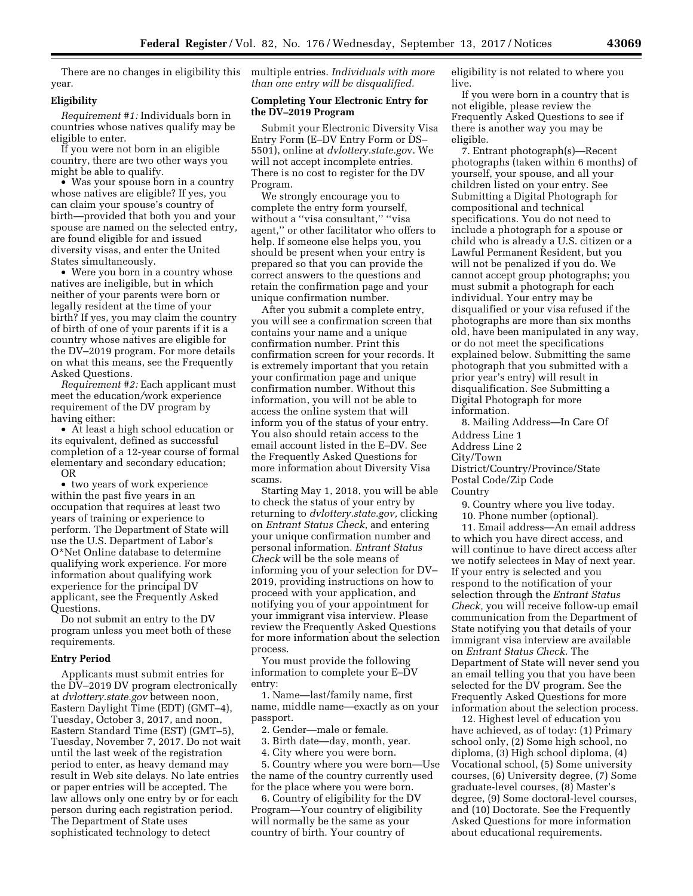year.

### **Eligibility**

*Requirement #1:* Individuals born in countries whose natives qualify may be eligible to enter.

If you were not born in an eligible country, there are two other ways you might be able to qualify.

• Was your spouse born in a country whose natives are eligible? If yes, you can claim your spouse's country of birth—provided that both you and your spouse are named on the selected entry, are found eligible for and issued diversity visas, and enter the United States simultaneously.

• Were you born in a country whose natives are ineligible, but in which neither of your parents were born or legally resident at the time of your birth? If yes, you may claim the country of birth of one of your parents if it is a country whose natives are eligible for the DV–2019 program. For more details on what this means, see the Frequently Asked Questions.

*Requirement #2:* Each applicant must meet the education*/*work experience requirement of the DV program by having either:

• At least a high school education or its equivalent, defined as successful completion of a 12-year course of formal elementary and secondary education; OR

• two years of work experience within the past five years in an occupation that requires at least two years of training or experience to perform. The Department of State will use the U.S. Department of Labor's O\*Net Online database to determine qualifying work experience. For more information about qualifying work experience for the principal DV applicant, see the Frequently Asked Questions.

Do not submit an entry to the DV program unless you meet both of these requirements.

### **Entry Period**

Applicants must submit entries for the DV–2019 DV program electronically at *dvlottery.state.gov* between noon, Eastern Daylight Time (EDT) (GMT–4), Tuesday, October 3, 2017, and noon, Eastern Standard Time (EST) (GMT–5), Tuesday, November 7, 2017. Do not wait until the last week of the registration period to enter, as heavy demand may result in Web site delays. No late entries or paper entries will be accepted. The law allows only one entry by or for each person during each registration period. The Department of State uses sophisticated technology to detect

There are no changes in eligibility this multiple entries. *Individuals with more than one entry will be disqualified.* 

# **Completing Your Electronic Entry for the DV–2019 Program**

Submit your Electronic Diversity Visa Entry Form (E–DV Entry Form or DS– 5501), online at *dvlottery.state.go*v. We will not accept incomplete entries. There is no cost to register for the DV Program.

We strongly encourage you to complete the entry form yourself, without a ''visa consultant,'' ''visa agent,'' or other facilitator who offers to help. If someone else helps you, you should be present when your entry is prepared so that you can provide the correct answers to the questions and retain the confirmation page and your unique confirmation number.

After you submit a complete entry, you will see a confirmation screen that contains your name and a unique confirmation number. Print this confirmation screen for your records. It is extremely important that you retain your confirmation page and unique confirmation number. Without this information, you will not be able to access the online system that will inform you of the status of your entry. You also should retain access to the email account listed in the E–DV. See the Frequently Asked Questions for more information about Diversity Visa scams.

Starting May 1, 2018, you will be able to check the status of your entry by returning to *dvlottery.state.gov,* clicking on *Entrant Status Check,* and entering your unique confirmation number and personal information. *Entrant Status Check* will be the sole means of informing you of your selection for DV– 2019, providing instructions on how to proceed with your application, and notifying you of your appointment for your immigrant visa interview. Please review the Frequently Asked Questions for more information about the selection process.

You must provide the following information to complete your E–DV entry:

1. Name—last/family name, first name, middle name—exactly as on your passport.

2. Gender—male or female.

3. Birth date—day, month, year.

4. City where you were born.

5. Country where you were born—Use the name of the country currently used for the place where you were born.

6. Country of eligibility for the DV Program—Your country of eligibility will normally be the same as your country of birth. Your country of

eligibility is not related to where you live.

If you were born in a country that is not eligible, please review the Frequently Asked Questions to see if there is another way you may be eligible.

7. Entrant photograph(s)—Recent photographs (taken within 6 months) of yourself, your spouse, and all your children listed on your entry. See Submitting a Digital Photograph for compositional and technical specifications. You do not need to include a photograph for a spouse or child who is already a U.S. citizen or a Lawful Permanent Resident, but you will not be penalized if you do. We cannot accept group photographs; you must submit a photograph for each individual. Your entry may be disqualified or your visa refused if the photographs are more than six months old, have been manipulated in any way, or do not meet the specifications explained below. Submitting the same photograph that you submitted with a prior year's entry) will result in disqualification. See Submitting a Digital Photograph for more information.

8. Mailing Address—In Care Of Address Line 1 Address Line 2 City/Town District/Country/Province/State

Postal Code/Zip Code Country

9. Country where you live today.

10. Phone number (optional).

11. Email address—An email address to which you have direct access, and will continue to have direct access after we notify selectees in May of next year. If your entry is selected and you respond to the notification of your selection through the *Entrant Status Check,* you will receive follow-up email communication from the Department of State notifying you that details of your immigrant visa interview are available on *Entrant Status Check.* The Department of State will never send you an email telling you that you have been selected for the DV program. See the Frequently Asked Questions for more information about the selection process.

12. Highest level of education you have achieved, as of today: (1) Primary school only, (2) Some high school, no diploma, (3) High school diploma, (4) Vocational school, (5) Some university courses, (6) University degree, (7) Some graduate-level courses, (8) Master's degree, (9) Some doctoral-level courses, and (10) Doctorate. See the Frequently Asked Questions for more information about educational requirements.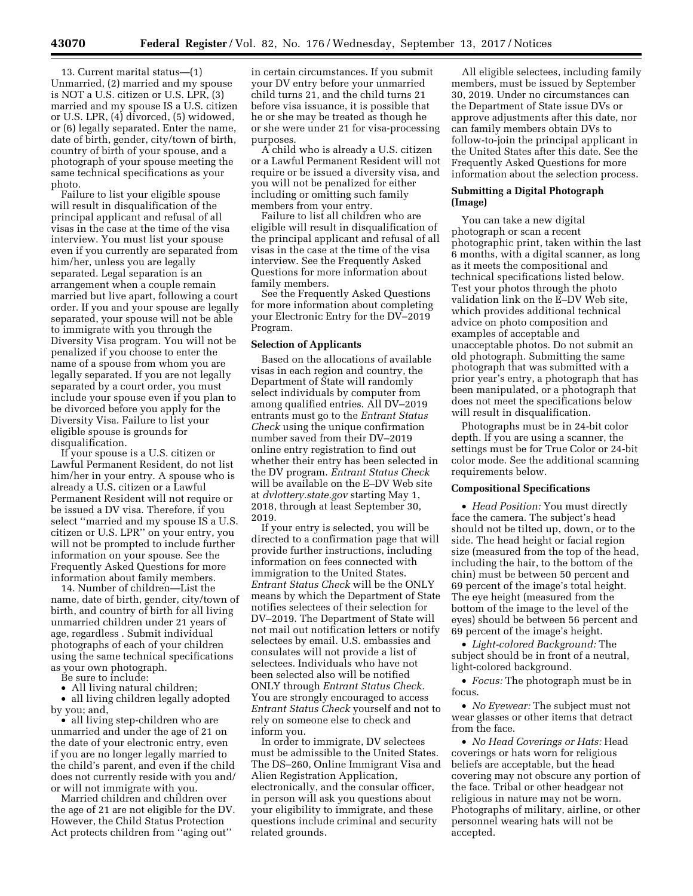13. Current marital status—(1) Unmarried, (2) married and my spouse is NOT a U.S. citizen or U.S. LPR, (3) married and my spouse IS a U.S. citizen or U.S. LPR, (4) divorced, (5) widowed, or (6) legally separated. Enter the name, date of birth, gender, city/town of birth, country of birth of your spouse, and a photograph of your spouse meeting the same technical specifications as your photo.

Failure to list your eligible spouse will result in disqualification of the principal applicant and refusal of all visas in the case at the time of the visa interview. You must list your spouse even if you currently are separated from him/her, unless you are legally separated. Legal separation is an arrangement when a couple remain married but live apart, following a court order. If you and your spouse are legally separated, your spouse will not be able to immigrate with you through the Diversity Visa program. You will not be penalized if you choose to enter the name of a spouse from whom you are legally separated. If you are not legally separated by a court order, you must include your spouse even if you plan to be divorced before you apply for the Diversity Visa. Failure to list your eligible spouse is grounds for disqualification.

If your spouse is a U.S. citizen or Lawful Permanent Resident, do not list him/her in your entry. A spouse who is already a U.S. citizen or a Lawful Permanent Resident will not require or be issued a DV visa. Therefore, if you select ''married and my spouse IS a U.S. citizen or U.S. LPR'' on your entry, you will not be prompted to include further information on your spouse. See the Frequently Asked Questions for more information about family members.

14. Number of children—List the name, date of birth, gender, city/town of birth, and country of birth for all living unmarried children under 21 years of age, regardless . Submit individual photographs of each of your children using the same technical specifications as your own photograph.

Be sure to include:

• All living natural children;

• all living children legally adopted by you; and,

• all living step-children who are unmarried and under the age of 21 on the date of your electronic entry, even if you are no longer legally married to the child's parent, and even if the child does not currently reside with you and/ or will not immigrate with you.

Married children and children over the age of 21 are not eligible for the DV. However, the Child Status Protection Act protects children from ''aging out''

in certain circumstances. If you submit your DV entry before your unmarried child turns 21, and the child turns 21 before visa issuance, it is possible that he or she may be treated as though he or she were under 21 for visa-processing purposes.

A child who is already a U.S. citizen or a Lawful Permanent Resident will not require or be issued a diversity visa, and you will not be penalized for either including or omitting such family members from your entry.

Failure to list all children who are eligible will result in disqualification of the principal applicant and refusal of all visas in the case at the time of the visa interview. See the Frequently Asked Questions for more information about family members.

See the Frequently Asked Questions for more information about completing your Electronic Entry for the DV–2019 Program.

### **Selection of Applicants**

Based on the allocations of available visas in each region and country, the Department of State will randomly select individuals by computer from among qualified entries. All DV–2019 entrants must go to the *Entrant Status Check* using the unique confirmation number saved from their DV–2019 online entry registration to find out whether their entry has been selected in the DV program. *Entrant Status Check*  will be available on the E–DV Web site at *dvlottery.state.gov* starting May 1, 2018, through at least September 30, 2019.

If your entry is selected, you will be directed to a confirmation page that will provide further instructions, including information on fees connected with immigration to the United States. *Entrant Status Check* will be the ONLY means by which the Department of State notifies selectees of their selection for DV–2019. The Department of State will not mail out notification letters or notify selectees by email. U.S. embassies and consulates will not provide a list of selectees. Individuals who have not been selected also will be notified ONLY through *Entrant Status Check.*  You are strongly encouraged to access *Entrant Status Check* yourself and not to rely on someone else to check and inform you.

In order to immigrate, DV selectees must be admissible to the United States. The DS–260, Online Immigrant Visa and Alien Registration Application, electronically, and the consular officer, in person will ask you questions about your eligibility to immigrate, and these questions include criminal and security related grounds.

All eligible selectees, including family members, must be issued by September 30, 2019. Under no circumstances can the Department of State issue DVs or approve adjustments after this date, nor can family members obtain DVs to follow-to-join the principal applicant in the United States after this date. See the Frequently Asked Questions for more information about the selection process.

# **Submitting a Digital Photograph (Image)**

You can take a new digital photograph or scan a recent photographic print, taken within the last 6 months, with a digital scanner, as long as it meets the compositional and technical specifications listed below. Test your photos through the photo validation link on the E–DV Web site, which provides additional technical advice on photo composition and examples of acceptable and unacceptable photos. Do not submit an old photograph. Submitting the same photograph that was submitted with a prior year's entry, a photograph that has been manipulated, or a photograph that does not meet the specifications below will result in disqualification.

Photographs must be in 24-bit color depth. If you are using a scanner, the settings must be for True Color or 24-bit color mode. See the additional scanning requirements below.

#### **Compositional Specifications**

• *Head Position:* You must directly face the camera. The subject's head should not be tilted up, down, or to the side. The head height or facial region size (measured from the top of the head, including the hair, to the bottom of the chin) must be between 50 percent and 69 percent of the image's total height. The eye height (measured from the bottom of the image to the level of the eyes) should be between 56 percent and 69 percent of the image's height.

• *Light-colored Background:* The subject should be in front of a neutral, light-colored background.

• *Focus:* The photograph must be in focus.

• *No Eyewear:* The subject must not wear glasses or other items that detract from the face.

• *No Head Coverings or Hats:* Head coverings or hats worn for religious beliefs are acceptable, but the head covering may not obscure any portion of the face. Tribal or other headgear not religious in nature may not be worn. Photographs of military, airline, or other personnel wearing hats will not be accepted.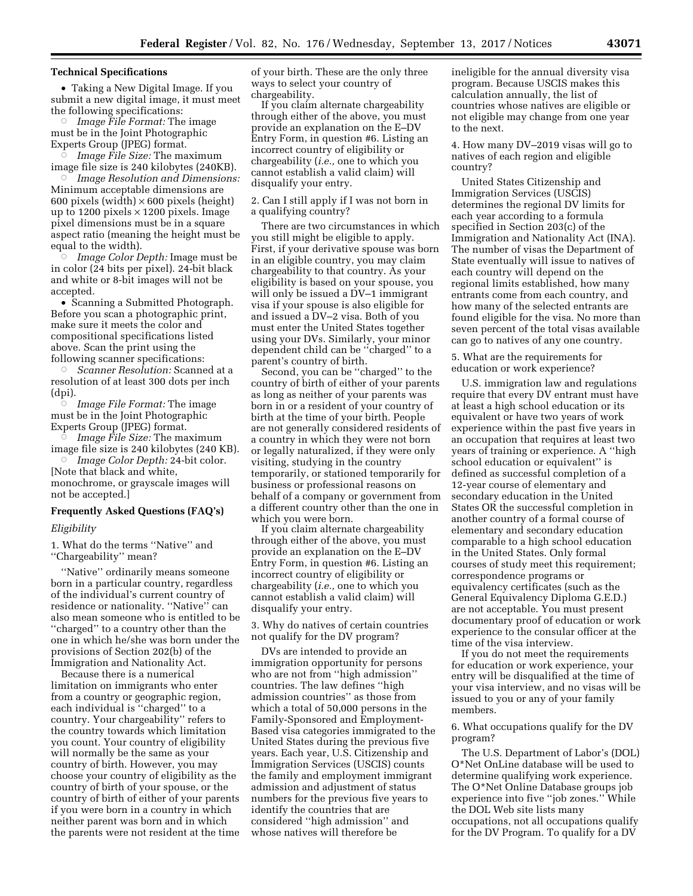### **Technical Specifications**

• Taking a New Digital Image. If you submit a new digital image, it must meet the following specifications:

Æ *Image File Format:* The image must be in the Joint Photographic Experts Group (JPEG) format.

Æ *Image File Size:* The maximum image file size is 240 kilobytes (240KB).

Æ *Image Resolution and Dimensions:*  Minimum acceptable dimensions are 600 pixels (width)  $\times$  600 pixels (height) up to 1200 pixels  $\times$  1200 pixels. Image pixel dimensions must be in a square aspect ratio (meaning the height must be equal to the width).

Æ *Image Color Depth:* Image must be in color (24 bits per pixel). 24-bit black and white or 8-bit images will not be accepted.

• Scanning a Submitted Photograph. Before you scan a photographic print, make sure it meets the color and compositional specifications listed above. Scan the print using the following scanner specifications:

Æ *Scanner Resolution:* Scanned at a resolution of at least 300 dots per inch (dpi).

 $\overline{\circ}$  *Image File Format:* The image must be in the Joint Photographic Experts Group (JPEG) format.

Æ *Image File Size:* The maximum image file size is 240 kilobytes (240 KB).

Æ *Image Color Depth:* 24-bit color. [Note that black and white, monochrome, or grayscale images will not be accepted.]

### **Frequently Asked Questions (FAQ's)**

# *Eligibility*

1. What do the terms ''Native'' and ''Chargeability'' mean?

''Native'' ordinarily means someone born in a particular country, regardless of the individual's current country of residence or nationality. ''Native'' can also mean someone who is entitled to be ''charged'' to a country other than the one in which he/she was born under the provisions of Section 202(b) of the Immigration and Nationality Act.

Because there is a numerical limitation on immigrants who enter from a country or geographic region, each individual is ''charged'' to a country. Your chargeability'' refers to the country towards which limitation you count. Your country of eligibility will normally be the same as your country of birth. However, you may choose your country of eligibility as the country of birth of your spouse, or the country of birth of either of your parents if you were born in a country in which neither parent was born and in which the parents were not resident at the time of your birth. These are the only three ways to select your country of chargeability.

If you claim alternate chargeability through either of the above, you must provide an explanation on the E–DV Entry Form, in question #6. Listing an incorrect country of eligibility or chargeability (*i.e.,* one to which you cannot establish a valid claim) will disqualify your entry.

2. Can I still apply if I was not born in a qualifying country?

There are two circumstances in which you still might be eligible to apply. First, if your derivative spouse was born in an eligible country, you may claim chargeability to that country. As your eligibility is based on your spouse, you will only be issued a DV–1 immigrant visa if your spouse is also eligible for and issued a DV–2 visa. Both of you must enter the United States together using your DVs. Similarly, your minor dependent child can be ''charged'' to a parent's country of birth.

Second, you can be ''charged'' to the country of birth of either of your parents as long as neither of your parents was born in or a resident of your country of birth at the time of your birth. People are not generally considered residents of a country in which they were not born or legally naturalized, if they were only visiting, studying in the country temporarily, or stationed temporarily for business or professional reasons on behalf of a company or government from a different country other than the one in which you were born.

If you claim alternate chargeability through either of the above, you must provide an explanation on the E–DV Entry Form, in question #6. Listing an incorrect country of eligibility or chargeability (*i.e.,* one to which you cannot establish a valid claim) will disqualify your entry.

3. Why do natives of certain countries not qualify for the DV program?

DVs are intended to provide an immigration opportunity for persons who are not from ''high admission'' countries. The law defines ''high admission countries'' as those from which a total of 50,000 persons in the Family-Sponsored and Employment-Based visa categories immigrated to the United States during the previous five years. Each year, U.S. Citizenship and Immigration Services (USCIS) counts the family and employment immigrant admission and adjustment of status numbers for the previous five years to identify the countries that are considered ''high admission'' and whose natives will therefore be

ineligible for the annual diversity visa program. Because USCIS makes this calculation annually, the list of countries whose natives are eligible or not eligible may change from one year to the next.

4. How many DV–2019 visas will go to natives of each region and eligible country?

United States Citizenship and Immigration Services (USCIS) determines the regional DV limits for each year according to a formula specified in Section 203(c) of the Immigration and Nationality Act (INA). The number of visas the Department of State eventually will issue to natives of each country will depend on the regional limits established, how many entrants come from each country, and how many of the selected entrants are found eligible for the visa. No more than seven percent of the total visas available can go to natives of any one country.

5. What are the requirements for education or work experience?

U.S. immigration law and regulations require that every DV entrant must have at least a high school education or its equivalent or have two years of work experience within the past five years in an occupation that requires at least two years of training or experience. A ''high school education or equivalent'' is defined as successful completion of a 12-year course of elementary and secondary education in the United States OR the successful completion in another country of a formal course of elementary and secondary education comparable to a high school education in the United States. Only formal courses of study meet this requirement; correspondence programs or equivalency certificates (such as the General Equivalency Diploma G.E.D.) are not acceptable. You must present documentary proof of education or work experience to the consular officer at the time of the visa interview.

If you do not meet the requirements for education or work experience, your entry will be disqualified at the time of your visa interview, and no visas will be issued to you or any of your family members.

6. What occupations qualify for the DV program?

The U.S. Department of Labor's (DOL) O\*Net OnLine database will be used to determine qualifying work experience. The O\*Net Online Database groups job experience into five ''job zones.'' While the DOL Web site lists many occupations, not all occupations qualify for the DV Program. To qualify for a DV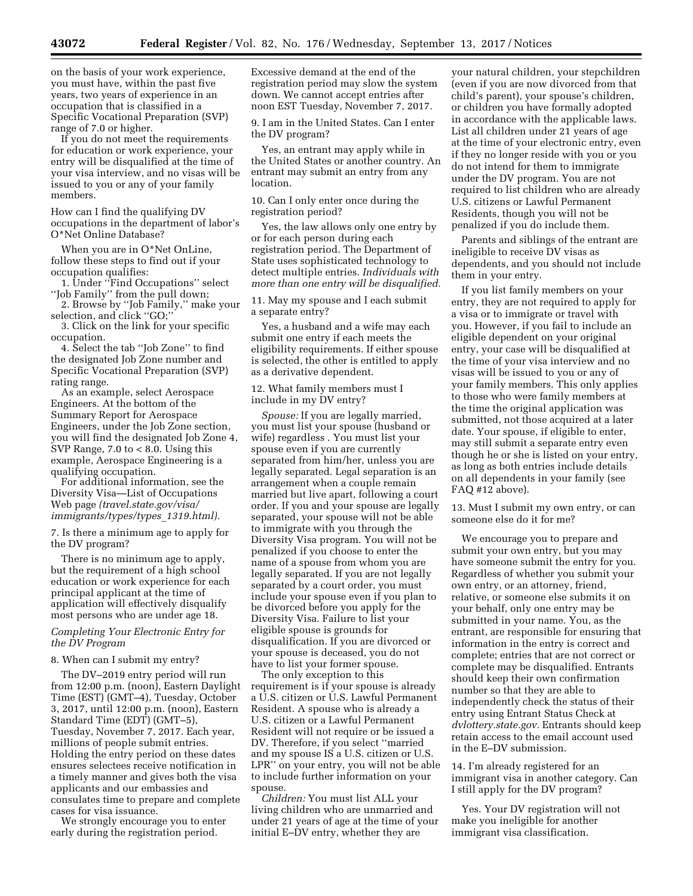on the basis of your work experience, you must have, within the past five years, two years of experience in an occupation that is classified in a Specific Vocational Preparation (SVP) range of 7.0 or higher.

If you do not meet the requirements for education or work experience, your entry will be disqualified at the time of your visa interview, and no visas will be issued to you or any of your family members.

How can I find the qualifying DV occupations in the department of labor's O\*Net Online Database?

When you are in O\*Net OnLine, follow these steps to find out if your occupation qualifies:

1. Under ''Find Occupations'' select ''Job Family'' from the pull down;

2. Browse by ''Job Family,'' make your selection, and click ''GO;''

3. Click on the link for your specific occupation.

4. Select the tab ''Job Zone'' to find the designated Job Zone number and Specific Vocational Preparation (SVP) rating range.

As an example, select Aerospace Engineers. At the bottom of the Summary Report for Aerospace Engineers, under the Job Zone section, you will find the designated Job Zone 4, SVP Range, 7.0 to < 8.0. Using this example, Aerospace Engineering is a qualifying occupation.

For additional information, see the Diversity Visa—List of Occupations Web page *(travel.state.gov/visa/ immigrants/types/types*\_*1319.html).* 

7. Is there a minimum age to apply for the DV program?

There is no minimum age to apply, but the requirement of a high school education or work experience for each principal applicant at the time of application will effectively disqualify most persons who are under age 18.

# *Completing Your Electronic Entry for the DV Program*

### 8. When can I submit my entry?

The DV–2019 entry period will run from 12:00 p.m. (noon), Eastern Daylight Time (EST) (GMT–4), Tuesday, October 3, 2017, until 12:00 p.m. (noon), Eastern Standard Time (EDT) (GMT–5), Tuesday, November 7, 2017. Each year, millions of people submit entries. Holding the entry period on these dates ensures selectees receive notification in a timely manner and gives both the visa applicants and our embassies and consulates time to prepare and complete cases for visa issuance.

We strongly encourage you to enter early during the registration period.

Excessive demand at the end of the registration period may slow the system down. We cannot accept entries after noon EST Tuesday, November 7, 2017.

9. I am in the United States. Can I enter the DV program?

Yes, an entrant may apply while in the United States or another country. An entrant may submit an entry from any location.

10. Can I only enter once during the registration period?

Yes, the law allows only one entry by or for each person during each registration period. The Department of State uses sophisticated technology to detect multiple entries. *Individuals with more than one entry will be disqualified.* 

11. May my spouse and I each submit a separate entry?

Yes, a husband and a wife may each submit one entry if each meets the eligibility requirements. If either spouse is selected, the other is entitled to apply as a derivative dependent.

12. What family members must I include in my DV entry?

*Spouse:* If you are legally married, you must list your spouse (husband or wife) regardless . You must list your spouse even if you are currently separated from him/her, unless you are legally separated. Legal separation is an arrangement when a couple remain married but live apart, following a court order. If you and your spouse are legally separated, your spouse will not be able to immigrate with you through the Diversity Visa program. You will not be penalized if you choose to enter the name of a spouse from whom you are legally separated. If you are not legally separated by a court order, you must include your spouse even if you plan to be divorced before you apply for the Diversity Visa. Failure to list your eligible spouse is grounds for disqualification. If you are divorced or your spouse is deceased, you do not have to list your former spouse.

The only exception to this requirement is if your spouse is already a U.S. citizen or U.S. Lawful Permanent Resident. A spouse who is already a U.S. citizen or a Lawful Permanent Resident will not require or be issued a DV. Therefore, if you select ''married and my spouse IS a U.S. citizen or U.S. LPR'' on your entry, you will not be able to include further information on your spouse.

*Children:* You must list ALL your living children who are unmarried and under 21 years of age at the time of your initial E–DV entry, whether they are

your natural children, your stepchildren (even if you are now divorced from that child's parent), your spouse's children, or children you have formally adopted in accordance with the applicable laws. List all children under 21 years of age at the time of your electronic entry, even if they no longer reside with you or you do not intend for them to immigrate under the DV program. You are not required to list children who are already U.S. citizens or Lawful Permanent Residents, though you will not be penalized if you do include them.

Parents and siblings of the entrant are ineligible to receive DV visas as dependents, and you should not include them in your entry.

If you list family members on your entry, they are not required to apply for a visa or to immigrate or travel with you. However, if you fail to include an eligible dependent on your original entry, your case will be disqualified at the time of your visa interview and no visas will be issued to you or any of your family members. This only applies to those who were family members at the time the original application was submitted, not those acquired at a later date. Your spouse, if eligible to enter, may still submit a separate entry even though he or she is listed on your entry, as long as both entries include details on all dependents in your family (see FAQ #12 above).

13. Must I submit my own entry, or can someone else do it for me?

We encourage you to prepare and submit your own entry, but you may have someone submit the entry for you. Regardless of whether you submit your own entry, or an attorney, friend, relative, or someone else submits it on your behalf, only one entry may be submitted in your name. You, as the entrant, are responsible for ensuring that information in the entry is correct and complete; entries that are not correct or complete may be disqualified. Entrants should keep their own confirmation number so that they are able to independently check the status of their entry using Entrant Status Check at *dvlottery.state.gov.* Entrants should keep retain access to the email account used in the E–DV submission.

14. I'm already registered for an immigrant visa in another category. Can I still apply for the DV program?

Yes. Your DV registration will not make you ineligible for another immigrant visa classification.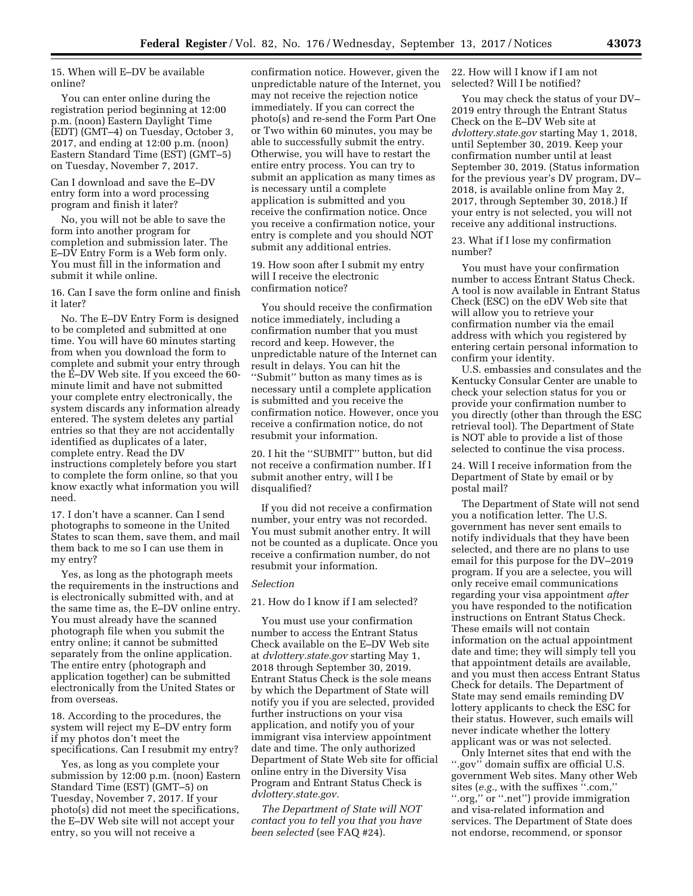15. When will E–DV be available online?

You can enter online during the registration period beginning at 12:00 p.m. (noon) Eastern Daylight Time (EDT) (GMT–4) on Tuesday, October 3, 2017, and ending at 12:00 p.m. (noon) Eastern Standard Time (EST) (GMT–5) on Tuesday, November 7, 2017.

Can I download and save the E–DV entry form into a word processing program and finish it later?

No, you will not be able to save the form into another program for completion and submission later. The E–DV Entry Form is a Web form only. You must fill in the information and submit it while online.

16. Can I save the form online and finish it later?

No. The E–DV Entry Form is designed to be completed and submitted at one time. You will have 60 minutes starting from when you download the form to complete and submit your entry through the E–DV Web site. If you exceed the 60 minute limit and have not submitted your complete entry electronically, the system discards any information already entered. The system deletes any partial entries so that they are not accidentally identified as duplicates of a later, complete entry. Read the DV instructions completely before you start to complete the form online, so that you know exactly what information you will need.

17. I don't have a scanner. Can I send photographs to someone in the United States to scan them, save them, and mail them back to me so I can use them in my entry?

Yes, as long as the photograph meets the requirements in the instructions and is electronically submitted with, and at the same time as, the E–DV online entry. You must already have the scanned photograph file when you submit the entry online; it cannot be submitted separately from the online application. The entire entry (photograph and application together) can be submitted electronically from the United States or from overseas.

18. According to the procedures, the system will reject my E–DV entry form if my photos don't meet the specifications. Can I resubmit my entry?

Yes, as long as you complete your submission by 12:00 p.m. (noon) Eastern Standard Time (EST) (GMT–5) on Tuesday, November 7, 2017. If your photo(s) did not meet the specifications, the E–DV Web site will not accept your entry, so you will not receive a

confirmation notice. However, given the unpredictable nature of the Internet, you may not receive the rejection notice immediately. If you can correct the photo(s) and re-send the Form Part One or Two within 60 minutes, you may be able to successfully submit the entry. Otherwise, you will have to restart the entire entry process. You can try to submit an application as many times as is necessary until a complete application is submitted and you receive the confirmation notice. Once you receive a confirmation notice, your entry is complete and you should NOT submit any additional entries.

19. How soon after I submit my entry will I receive the electronic confirmation notice?

You should receive the confirmation notice immediately, including a confirmation number that you must record and keep. However, the unpredictable nature of the Internet can result in delays. You can hit the ''Submit'' button as many times as is necessary until a complete application is submitted and you receive the confirmation notice. However, once you receive a confirmation notice, do not resubmit your information.

20. I hit the ''SUBMIT'' button, but did not receive a confirmation number. If I submit another entry, will I be disqualified?

If you did not receive a confirmation number, your entry was not recorded. You must submit another entry. It will not be counted as a duplicate. Once you receive a confirmation number, do not resubmit your information.

#### *Selection*

# 21. How do I know if I am selected?

You must use your confirmation number to access the Entrant Status Check available on the E–DV Web site at *dvlottery.state.gov* starting May 1, 2018 through September 30, 2019. Entrant Status Check is the sole means by which the Department of State will notify you if you are selected, provided further instructions on your visa application, and notify you of your immigrant visa interview appointment date and time. The only authorized Department of State Web site for official online entry in the Diversity Visa Program and Entrant Status Check is *dvlottery.state.gov.* 

*The Department of State will NOT contact you to tell you that you have been selected* (see FAQ #24).

22. How will I know if I am not selected? Will I be notified?

You may check the status of your DV– 2019 entry through the Entrant Status Check on the E–DV Web site at *dvlottery.state.gov* starting May 1, 2018, until September 30, 2019. Keep your confirmation number until at least September 30, 2019. (Status information for the previous year's DV program, DV– 2018, is available online from May 2, 2017, through September 30, 2018.) If your entry is not selected, you will not receive any additional instructions.

23. What if I lose my confirmation number?

You must have your confirmation number to access Entrant Status Check. A tool is now available in Entrant Status Check (ESC) on the eDV Web site that will allow you to retrieve your confirmation number via the email address with which you registered by entering certain personal information to confirm your identity.

U.S. embassies and consulates and the Kentucky Consular Center are unable to check your selection status for you or provide your confirmation number to you directly (other than through the ESC retrieval tool). The Department of State is NOT able to provide a list of those selected to continue the visa process.

24. Will I receive information from the Department of State by email or by postal mail?

The Department of State will not send you a notification letter. The U.S. government has never sent emails to notify individuals that they have been selected, and there are no plans to use email for this purpose for the DV–2019 program. If you are a selectee, you will only receive email communications regarding your visa appointment *after*  you have responded to the notification instructions on Entrant Status Check. These emails will not contain information on the actual appointment date and time; they will simply tell you that appointment details are available, and you must then access Entrant Status Check for details. The Department of State may send emails reminding DV lottery applicants to check the ESC for their status. However, such emails will never indicate whether the lottery applicant was or was not selected.

Only Internet sites that end with the ''.gov'' domain suffix are official U.S. government Web sites. Many other Web sites (*e.g.,* with the suffixes ''.com,'' ''.org,'' or ''.net'') provide immigration and visa-related information and services. The Department of State does not endorse, recommend, or sponsor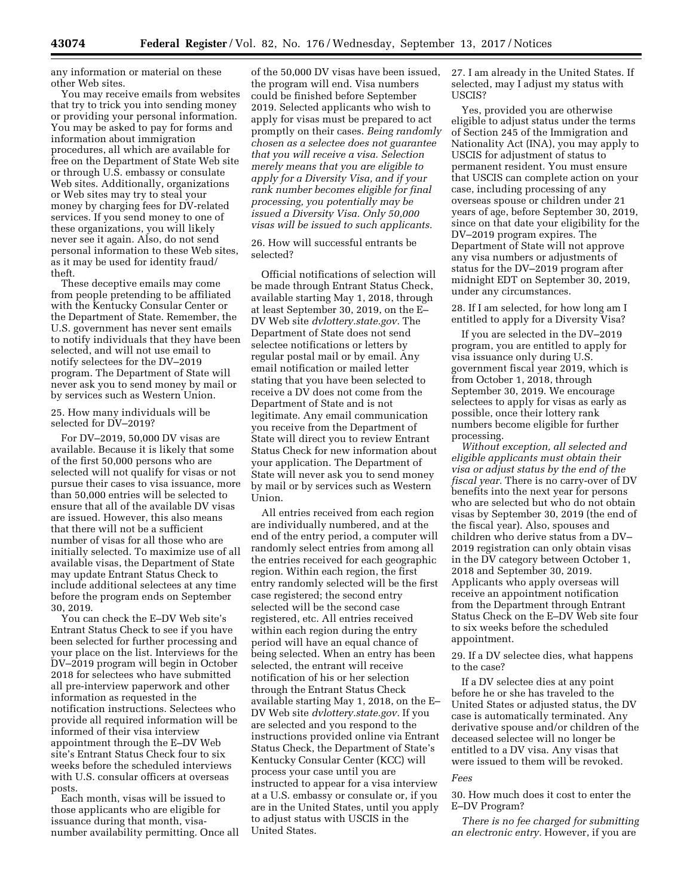any information or material on these other Web sites.

You may receive emails from websites that try to trick you into sending money or providing your personal information. You may be asked to pay for forms and information about immigration procedures, all which are available for free on the Department of State Web site or through U.S. embassy or consulate Web sites. Additionally, organizations or Web sites may try to steal your money by charging fees for DV-related services. If you send money to one of these organizations, you will likely never see it again. Also, do not send personal information to these Web sites, as it may be used for identity fraud/ theft.

These deceptive emails may come from people pretending to be affiliated with the Kentucky Consular Center or the Department of State. Remember, the U.S. government has never sent emails to notify individuals that they have been selected, and will not use email to notify selectees for the DV–2019 program. The Department of State will never ask you to send money by mail or by services such as Western Union.

# 25. How many individuals will be selected for DV–2019?

For DV–2019, 50,000 DV visas are available. Because it is likely that some of the first 50,000 persons who are selected will not qualify for visas or not pursue their cases to visa issuance, more than 50,000 entries will be selected to ensure that all of the available DV visas are issued. However, this also means that there will not be a sufficient number of visas for all those who are initially selected. To maximize use of all available visas, the Department of State may update Entrant Status Check to include additional selectees at any time before the program ends on September 30, 2019.

You can check the E–DV Web site's Entrant Status Check to see if you have been selected for further processing and your place on the list. Interviews for the DV–2019 program will begin in October 2018 for selectees who have submitted all pre-interview paperwork and other information as requested in the notification instructions. Selectees who provide all required information will be informed of their visa interview appointment through the E–DV Web site's Entrant Status Check four to six weeks before the scheduled interviews with U.S. consular officers at overseas posts.

Each month, visas will be issued to those applicants who are eligible for issuance during that month, visanumber availability permitting. Once all

of the 50,000 DV visas have been issued, the program will end. Visa numbers could be finished before September 2019. Selected applicants who wish to apply for visas must be prepared to act promptly on their cases. *Being randomly chosen as a selectee does not guarantee that you will receive a visa. Selection merely means that you are eligible to apply for a Diversity Visa, and if your rank number becomes eligible for final processing, you potentially may be issued a Diversity Visa. Only 50,000 visas will be issued to such applicants.* 

26. How will successful entrants be selected?

Official notifications of selection will be made through Entrant Status Check, available starting May 1, 2018, through at least September 30, 2019, on the E– DV Web site *dvlottery.state.gov.* The Department of State does not send selectee notifications or letters by regular postal mail or by email. Any email notification or mailed letter stating that you have been selected to receive a DV does not come from the Department of State and is not legitimate. Any email communication you receive from the Department of State will direct you to review Entrant Status Check for new information about your application. The Department of State will never ask you to send money by mail or by services such as Western Union.

All entries received from each region are individually numbered, and at the end of the entry period, a computer will randomly select entries from among all the entries received for each geographic region. Within each region, the first entry randomly selected will be the first case registered; the second entry selected will be the second case registered, etc. All entries received within each region during the entry period will have an equal chance of being selected. When an entry has been selected, the entrant will receive notification of his or her selection through the Entrant Status Check available starting May 1, 2018, on the E– DV Web site *dvlottery.state.gov.* If you are selected and you respond to the instructions provided online via Entrant Status Check, the Department of State's Kentucky Consular Center (KCC) will process your case until you are instructed to appear for a visa interview at a U.S. embassy or consulate or, if you are in the United States, until you apply to adjust status with USCIS in the United States.

27. I am already in the United States. If selected, may I adjust my status with USCIS?

Yes, provided you are otherwise eligible to adjust status under the terms of Section 245 of the Immigration and Nationality Act (INA), you may apply to USCIS for adjustment of status to permanent resident. You must ensure that USCIS can complete action on your case, including processing of any overseas spouse or children under 21 years of age, before September 30, 2019, since on that date your eligibility for the DV–2019 program expires. The Department of State will not approve any visa numbers or adjustments of status for the DV–2019 program after midnight EDT on September 30, 2019, under any circumstances.

28. If I am selected, for how long am I entitled to apply for a Diversity Visa?

If you are selected in the DV–2019 program, you are entitled to apply for visa issuance only during U.S. government fiscal year 2019, which is from October 1, 2018, through September 30, 2019. We encourage selectees to apply for visas as early as possible, once their lottery rank numbers become eligible for further processing.

*Without exception, all selected and eligible applicants must obtain their visa or adjust status by the end of the fiscal year.* There is no carry-over of DV benefits into the next year for persons who are selected but who do not obtain visas by September 30, 2019 (the end of the fiscal year). Also, spouses and children who derive status from a DV– 2019 registration can only obtain visas in the DV category between October 1, 2018 and September 30, 2019. Applicants who apply overseas will receive an appointment notification from the Department through Entrant Status Check on the E–DV Web site four to six weeks before the scheduled appointment.

29. If a DV selectee dies, what happens to the case?

If a DV selectee dies at any point before he or she has traveled to the United States or adjusted status, the DV case is automatically terminated. Any derivative spouse and/or children of the deceased selectee will no longer be entitled to a DV visa. Any visas that were issued to them will be revoked.

#### *Fees*

30. How much does it cost to enter the E–DV Program?

*There is no fee charged for submitting an electronic entry.* However, if you are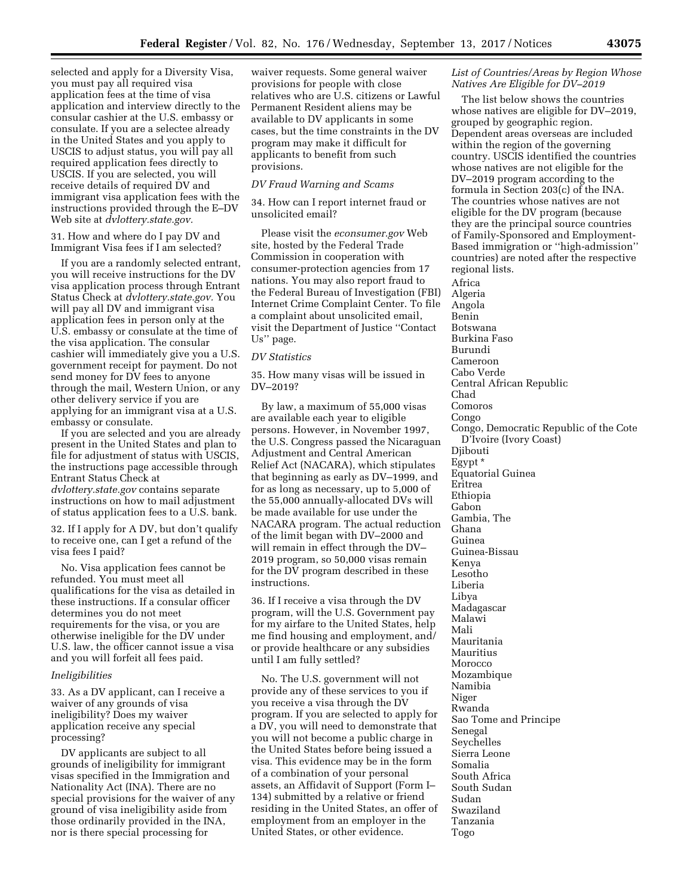selected and apply for a Diversity Visa, you must pay all required visa application fees at the time of visa application and interview directly to the consular cashier at the U.S. embassy or consulate. If you are a selectee already in the United States and you apply to USCIS to adjust status, you will pay all required application fees directly to USCIS. If you are selected, you will receive details of required DV and immigrant visa application fees with the instructions provided through the E–DV Web site at *dvlottery.state.gov.* 

31. How and where do I pay DV and Immigrant Visa fees if I am selected?

If you are a randomly selected entrant, you will receive instructions for the DV visa application process through Entrant Status Check at *dvlottery.state.gov.* You will pay all DV and immigrant visa application fees in person only at the U.S. embassy or consulate at the time of the visa application. The consular cashier will immediately give you a U.S. government receipt for payment. Do not send money for DV fees to anyone through the mail, Western Union, or any other delivery service if you are applying for an immigrant visa at a U.S. embassy or consulate.

If you are selected and you are already present in the United States and plan to file for adjustment of status with USCIS, the instructions page accessible through Entrant Status Check at *dvlottery.state.gov* contains separate instructions on how to mail adjustment of status application fees to a U.S. bank.

32. If I apply for A DV, but don't qualify to receive one, can I get a refund of the visa fees I paid?

No. Visa application fees cannot be refunded. You must meet all qualifications for the visa as detailed in these instructions. If a consular officer determines you do not meet requirements for the visa, or you are otherwise ineligible for the DV under U.S. law, the officer cannot issue a visa and you will forfeit all fees paid.

#### *Ineligibilities*

33. As a DV applicant, can I receive a waiver of any grounds of visa ineligibility? Does my waiver application receive any special processing?

DV applicants are subject to all grounds of ineligibility for immigrant visas specified in the Immigration and Nationality Act (INA). There are no special provisions for the waiver of any ground of visa ineligibility aside from those ordinarily provided in the INA, nor is there special processing for

waiver requests. Some general waiver provisions for people with close relatives who are U.S. citizens or Lawful Permanent Resident aliens may be available to DV applicants in some cases, but the time constraints in the DV program may make it difficult for applicants to benefit from such provisions.

# *DV Fraud Warning and Scams*

34. How can I report internet fraud or unsolicited email?

Please visit the *econsumer.gov* Web site, hosted by the Federal Trade Commission in cooperation with consumer-protection agencies from 17 nations. You may also report fraud to the Federal Bureau of Investigation (FBI) Internet Crime Complaint Center. To file a complaint about unsolicited email, visit the Department of Justice ''Contact Us'' page.

#### *DV Statistics*

35. How many visas will be issued in DV–2019?

By law, a maximum of 55,000 visas are available each year to eligible persons. However, in November 1997, the U.S. Congress passed the Nicaraguan Adjustment and Central American Relief Act (NACARA), which stipulates that beginning as early as DV–1999, and for as long as necessary, up to 5,000 of the 55,000 annually-allocated DVs will be made available for use under the NACARA program. The actual reduction of the limit began with DV–2000 and will remain in effect through the DV– 2019 program, so 50,000 visas remain for the DV program described in these instructions.

36. If I receive a visa through the DV program, will the U.S. Government pay for my airfare to the United States, help me find housing and employment, and/ or provide healthcare or any subsidies until I am fully settled?

No. The U.S. government will not provide any of these services to you if you receive a visa through the DV program. If you are selected to apply for a DV, you will need to demonstrate that you will not become a public charge in the United States before being issued a visa. This evidence may be in the form of a combination of your personal assets, an Affidavit of Support (Form I– 134) submitted by a relative or friend residing in the United States, an offer of employment from an employer in the United States, or other evidence.

# *List of Countries/Areas by Region Whose Natives Are Eligible for DV–2019*

The list below shows the countries whose natives are eligible for DV–2019, grouped by geographic region. Dependent areas overseas are included within the region of the governing country. USCIS identified the countries whose natives are not eligible for the DV–2019 program according to the formula in Section 203(c) of the INA. The countries whose natives are not eligible for the DV program (because they are the principal source countries of Family-Sponsored and Employment-Based immigration or ''high-admission'' countries) are noted after the respective regional lists.

Africa Algeria Angola Benin Botswana Burkina Faso Burundi Cameroon Cabo Verde Central African Republic Chad Comoros Congo Congo, Democratic Republic of the Cote D'Ivoire (Ivory Coast) Djibouti Egypt \* Equatorial Guinea Eritrea Ethiopia Gabon Gambia, The Ghana Guinea Guinea-Bissau Kenya Lesotho Liberia Libya Madagascar Malawi Mali Mauritania Mauritius Morocco Mozambique Namibia Niger Rwanda Sao Tome and Principe Senegal Seychelles Sierra Leone Somalia South Africa South Sudan Sudan Swaziland Tanzania Togo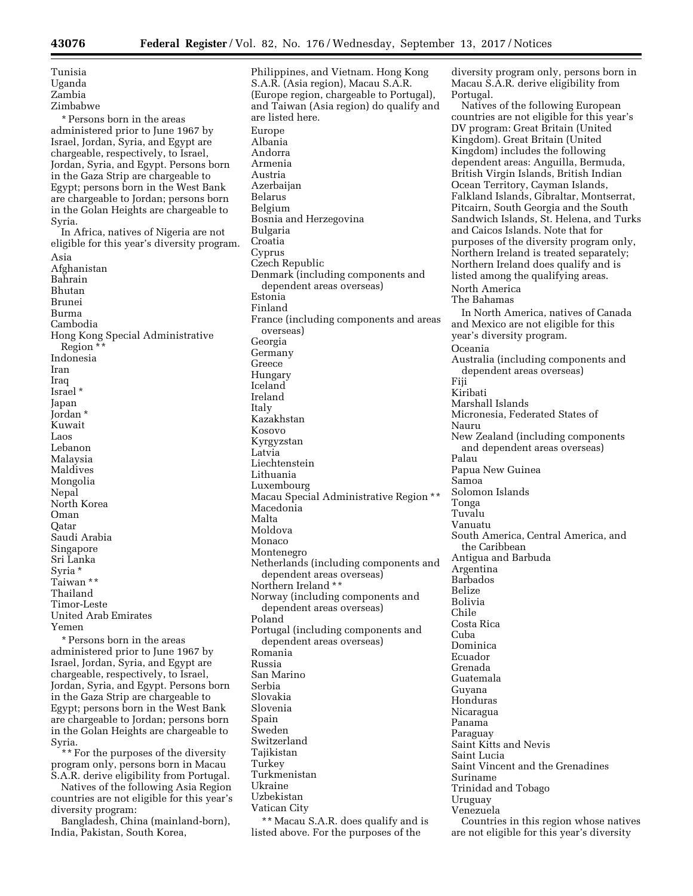| Tunisia                                     |
|---------------------------------------------|
| Uganda                                      |
| Zambia                                      |
| Zimbabwe                                    |
| * Persons born in the areas                 |
| administered prior to June 1967 by          |
| Israel, Jordan, Syria, and Egypt are        |
| chargeable, respectively, to Israel,        |
| Jordan, Syria, and Egypt. Persons born      |
| in the Gaza Strip are chargeable to         |
| Egypt; persons born in the West Bank        |
| are chargeable to Jordan; persons born      |
| in the Golan Heights are chargeable to      |
| Syria.                                      |
| In Africa, natives of Nigeria are not       |
| eligible for this year's diversity program. |
| Asia                                        |
| Afghanistan                                 |
| Bahrain                                     |
| Bhutan                                      |
| Brunei                                      |
| Burma                                       |
| Cambodia                                    |
| Hong Kong Special Administrative            |
| Region **                                   |
| Indonesia                                   |
| Iran                                        |
| lraq                                        |
| Israel *                                    |
| Japan                                       |
| Jordan *                                    |
| Kuwait                                      |
| Laos                                        |
| Lebanon                                     |
| Malaysia                                    |
| Maldives                                    |
| Mongolia                                    |
| Nepal                                       |
| North Korea                                 |
| Oman                                        |
| Qatar                                       |
| Saudi Arabia                                |
| Singapore                                   |
| Sri Lanka                                   |
| Syria *                                     |
| Taiwan **                                   |
| Thailand                                    |
| Timor-Leste                                 |
| <b>United Arab Emirates</b>                 |
|                                             |
| Yemen                                       |
| * Persons born in the areas                 |

Israel, Jordan, Syria, and Egypt are chargeable, respectively, to Israel, Jordan, Syria, and Egypt. Persons born in the Gaza Strip are chargeable to Egypt; persons born in the West Bank are chargeable to Jordan; persons born in the Golan Heights are chargeable to Syria.

\*\* For the purposes of the diversity program only, persons born in Macau S.A.R. derive eligibility from Portugal.

Natives of the following Asia Region countries are not eligible for this year's diversity program:

Bangladesh, China (mainland-born), India, Pakistan, South Korea,

Philippines, and Vietnam. Hong Kong S.A.R. (Asia region), Macau S.A.R. (Europe region, chargeable to Portugal), and Taiwan (Asia region) do qualify and are listed here. Europe Albania Andorra Armenia Austria Azerbaijan Belarus Belgium Bosnia and Herzegovina Bulgaria Croatia Cyprus Czech Republic Denmark (including components and dependent areas overseas) Estonia Finland France (including components and areas overseas) Georgia Germany Greece Hungary Iceland Ireland Italy Kazakhstan Kosovo Kyrgyzstan Latvia Liechtenstein Lithuania Luxembourg Macau Special Administrative Region \*\* Macedonia Malta Moldova Monaco Montenegro Netherlands (including components and dependent areas overseas) Northern Ireland \*\* Norway (including components and dependent areas overseas) Poland Portugal (including components and dependent areas overseas) Romania Russia San Marino Serbia Slovakia Slovenia Spain Sweden Switzerland Tajikistan Turkey Turkmenistan Ukraine Uzbekistan Vatican City

\*\* Macau S.A.R. does qualify and is listed above. For the purposes of the

diversity program only, persons born in Macau S.A.R. derive eligibility from Portugal.

Natives of the following European countries are not eligible for this year's DV program: Great Britain (United Kingdom). Great Britain (United Kingdom) includes the following dependent areas: Anguilla, Bermuda, British Virgin Islands, British Indian Ocean Territory, Cayman Islands, Falkland Islands, Gibraltar, Montserrat, Pitcairn, South Georgia and the South Sandwich Islands, St. Helena, and Turks and Caicos Islands. Note that for purposes of the diversity program only, Northern Ireland is treated separately; Northern Ireland does qualify and is listed among the qualifying areas. North America The Bahamas In North America, natives of Canada and Mexico are not eligible for this year's diversity program. Oceania Australia (including components and dependent areas overseas) Fiji Kiribati Marshall Islands Micronesia, Federated States of Nauru New Zealand (including components and dependent areas overseas) Palau Papua New Guinea Samoa Solomon Islands Tonga Tuvalu Vanuatu South America, Central America, and the Caribbean Antigua and Barbuda Argentina Barbados Belize Bolivia Chile Costa Rica Cuba Dominica Ecuador Grenada Guatemala Guyana Honduras Nicaragua Panama Paraguay Saint Kitts and Nevis Saint Lucia Saint Vincent and the Grenadines Suriname Trinidad and Tobago Uruguay Venezuela Countries in this region whose natives are not eligible for this year's diversity